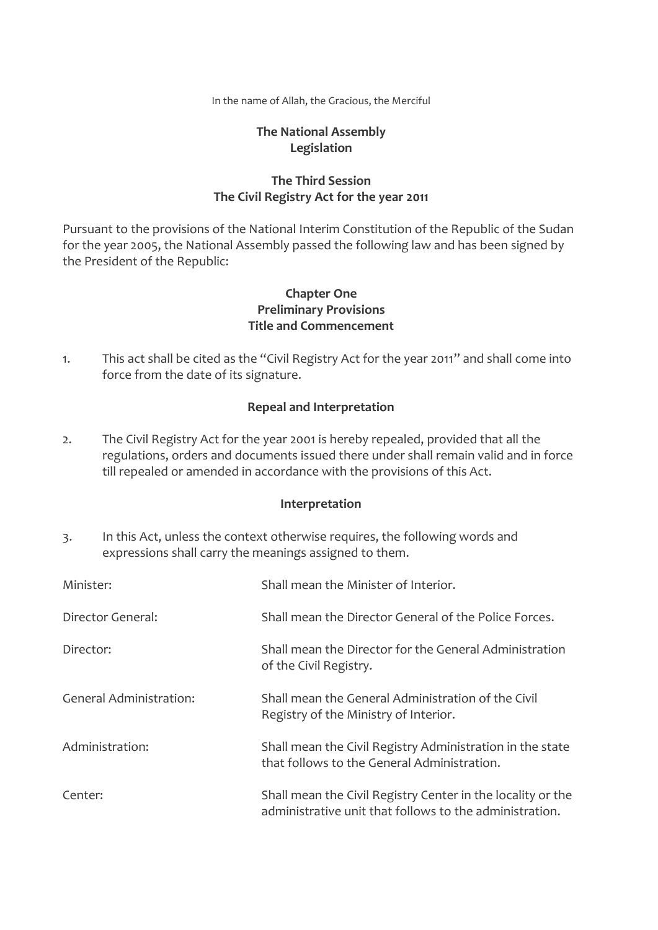In the name of Allah, the Gracious, the Merciful

## **The National Assembly Legislation**

## **The Third Session The Civil Registry Act for the year 2011**

Pursuant to the provisions of the National Interim Constitution of the Republic of the Sudan for the year 2005, the National Assembly passed the following law and has been signed by the President of the Republic:

## **Chapter One Preliminary Provisions Title and Commencement**

1. This act shall be cited as the "Civil Registry Act for the year 2011" and shall come into force from the date of its signature.

## **Repeal and Interpretation**

2. The Civil Registry Act for the year 2001 is hereby repealed, provided that all the regulations, orders and documents issued there under shall remain valid and in force till repealed or amended in accordance with the provisions of this Act.

## **Interpretation**

3. In this Act, unless the context otherwise requires, the following words and expressions shall carry the meanings assigned to them.

| Minister:                      | Shall mean the Minister of Interior.                                                                                   |
|--------------------------------|------------------------------------------------------------------------------------------------------------------------|
| Director General:              | Shall mean the Director General of the Police Forces.                                                                  |
| Director:                      | Shall mean the Director for the General Administration<br>of the Civil Registry.                                       |
| <b>General Administration:</b> | Shall mean the General Administration of the Civil<br>Registry of the Ministry of Interior.                            |
| Administration:                | Shall mean the Civil Registry Administration in the state<br>that follows to the General Administration.               |
| Center:                        | Shall mean the Civil Registry Center in the locality or the<br>administrative unit that follows to the administration. |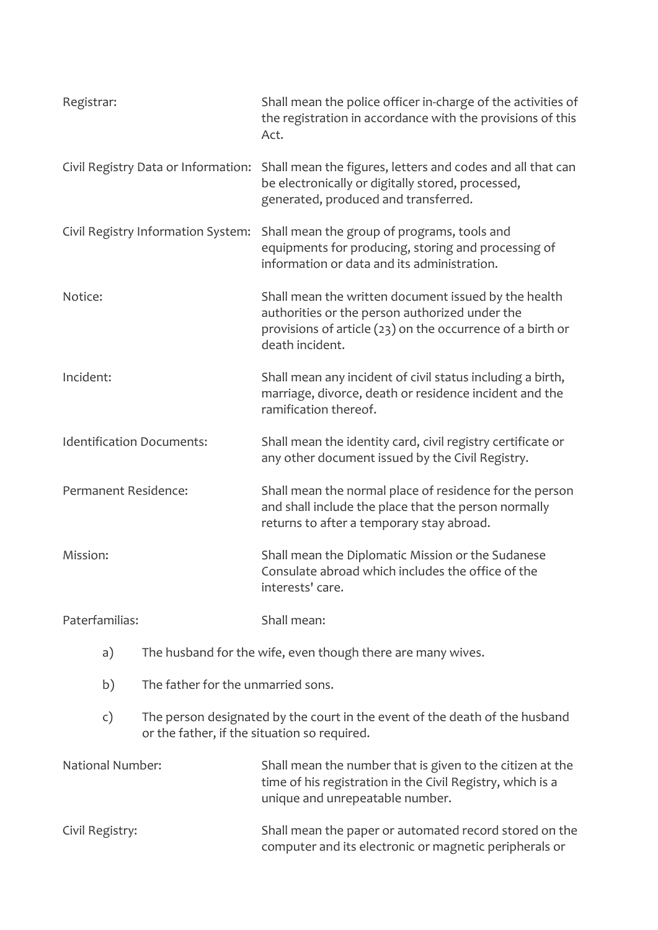| Registrar:                       |                                                                                                                             | Shall mean the police officer in-charge of the activities of<br>the registration in accordance with the provisions of this<br>Act.                                                      |
|----------------------------------|-----------------------------------------------------------------------------------------------------------------------------|-----------------------------------------------------------------------------------------------------------------------------------------------------------------------------------------|
|                                  | Civil Registry Data or Information:                                                                                         | Shall mean the figures, letters and codes and all that can<br>be electronically or digitally stored, processed,<br>generated, produced and transferred.                                 |
|                                  | Civil Registry Information System:                                                                                          | Shall mean the group of programs, tools and<br>equipments for producing, storing and processing of<br>information or data and its administration.                                       |
| Notice:                          |                                                                                                                             | Shall mean the written document issued by the health<br>authorities or the person authorized under the<br>provisions of article (23) on the occurrence of a birth or<br>death incident. |
| Incident:                        |                                                                                                                             | Shall mean any incident of civil status including a birth,<br>marriage, divorce, death or residence incident and the<br>ramification thereof.                                           |
| <b>Identification Documents:</b> |                                                                                                                             | Shall mean the identity card, civil registry certificate or<br>any other document issued by the Civil Registry.                                                                         |
| Permanent Residence:             |                                                                                                                             | Shall mean the normal place of residence for the person<br>and shall include the place that the person normally<br>returns to after a temporary stay abroad.                            |
| Mission:                         |                                                                                                                             | Shall mean the Diplomatic Mission or the Sudanese<br>Consulate abroad which includes the office of the<br>interests' care.                                                              |
| Paterfamilias:                   |                                                                                                                             | Shall mean:                                                                                                                                                                             |
| a)                               | The husband for the wife, even though there are many wives.                                                                 |                                                                                                                                                                                         |
| b)                               | The father for the unmarried sons.                                                                                          |                                                                                                                                                                                         |
| $\mathsf{c})$                    | The person designated by the court in the event of the death of the husband<br>or the father, if the situation so required. |                                                                                                                                                                                         |
| <b>National Number:</b>          |                                                                                                                             | Shall mean the number that is given to the citizen at the<br>time of his registration in the Civil Registry, which is a<br>unique and unrepeatable number.                              |
| Civil Registry:                  |                                                                                                                             | Shall mean the paper or automated record stored on the                                                                                                                                  |

computer and its electronic or magnetic peripherals or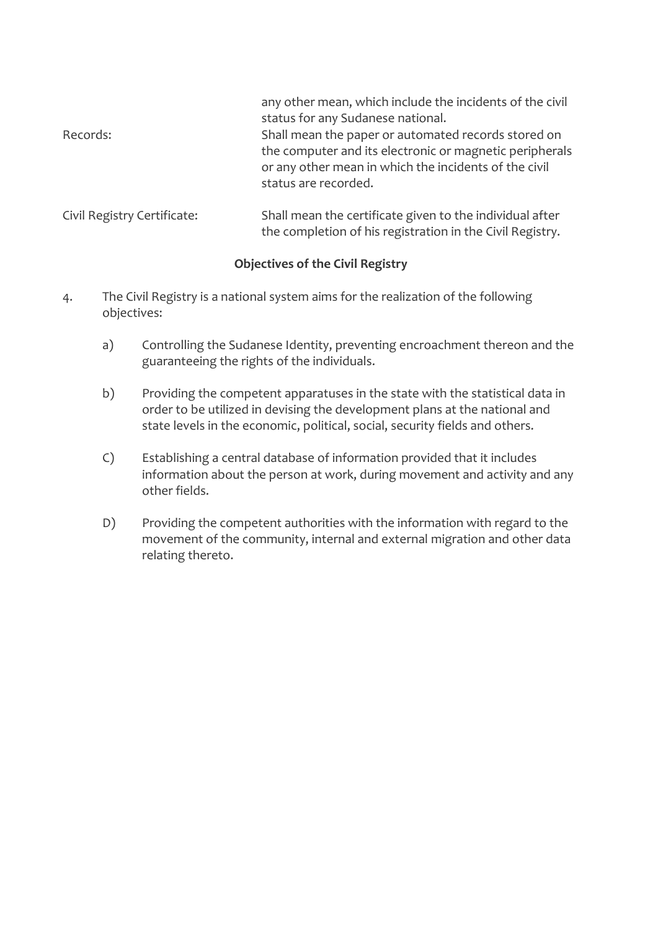|          | any other mean, which include the incidents of the civil |
|----------|----------------------------------------------------------|
|          | status for any Sudanese national.                        |
| Records: | Shall mean the paper or automated records stored on      |
|          | the computer and its electronic or magnetic peripherals  |
|          | or any other mean in which the incidents of the civil    |
|          | status are recorded.                                     |
|          |                                                          |
|          |                                                          |

Civil Registry Certificate: Shall mean the certificate given to the individual after the completion of his registration in the Civil Registry.

# **Objectives of the Civil Registry**

- 4. The Civil Registry is a national system aims for the realization of the following objectives:
	- a) Controlling the Sudanese Identity, preventing encroachment thereon and the guaranteeing the rights of the individuals.
	- b) Providing the competent apparatuses in the state with the statistical data in order to be utilized in devising the development plans at the national and state levels in the economic, political, social, security fields and others.
	- C) Establishing a central database of information provided that it includes information about the person at work, during movement and activity and any other fields.
	- D) Providing the competent authorities with the information with regard to the movement of the community, internal and external migration and other data relating thereto.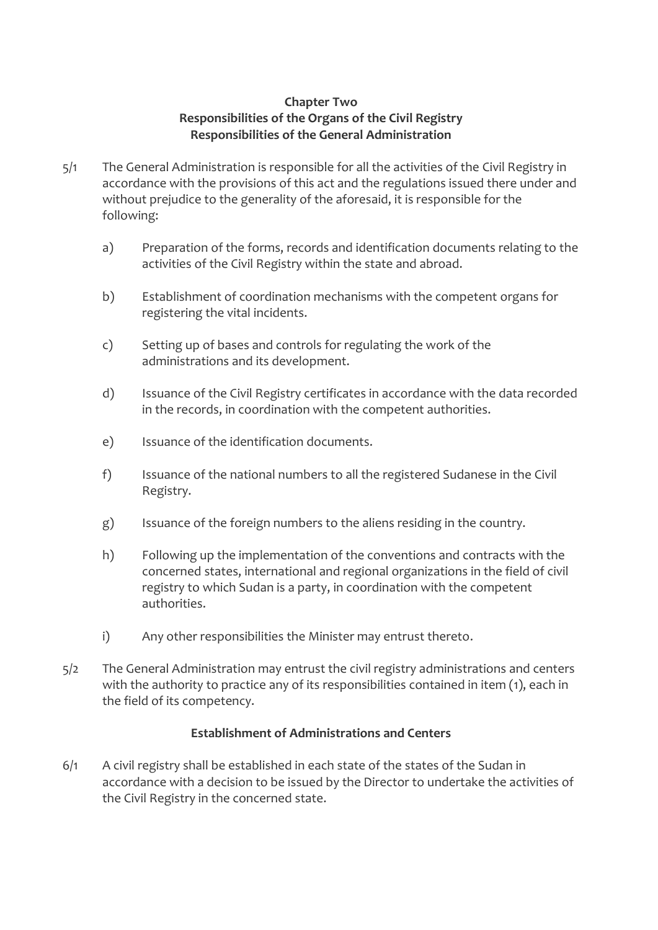## **Chapter Two Responsibilities of the Organs of the Civil Registry Responsibilities of the General Administration**

- 5/1 The General Administration is responsible for all the activities of the Civil Registry in accordance with the provisions of this act and the regulations issued there under and without prejudice to the generality of the aforesaid, it is responsible for the following:
	- a) Preparation of the forms, records and identification documents relating to the activities of the Civil Registry within the state and abroad.
	- b) Establishment of coordination mechanisms with the competent organs for registering the vital incidents.
	- c) Setting up of bases and controls for regulating the work of the administrations and its development.
	- d) Issuance of the Civil Registry certificates in accordance with the data recorded in the records, in coordination with the competent authorities.
	- e) Issuance of the identification documents.
	- f) Issuance of the national numbers to all the registered Sudanese in the Civil Registry.
	- g) Issuance of the foreign numbers to the aliens residing in the country.
	- h) Following up the implementation of the conventions and contracts with the concerned states, international and regional organizations in the field of civil registry to which Sudan is a party, in coordination with the competent authorities.
	- i) Any other responsibilities the Minister may entrust thereto.
- 5/2 The General Administration may entrust the civil registry administrations and centers with the authority to practice any of its responsibilities contained in item (1), each in the field of its competency.

## **Establishment of Administrations and Centers**

 $6/1$  A civil registry shall be established in each state of the states of the Sudan in accordance with a decision to be issued by the Director to undertake the activities of the Civil Registry in the concerned state.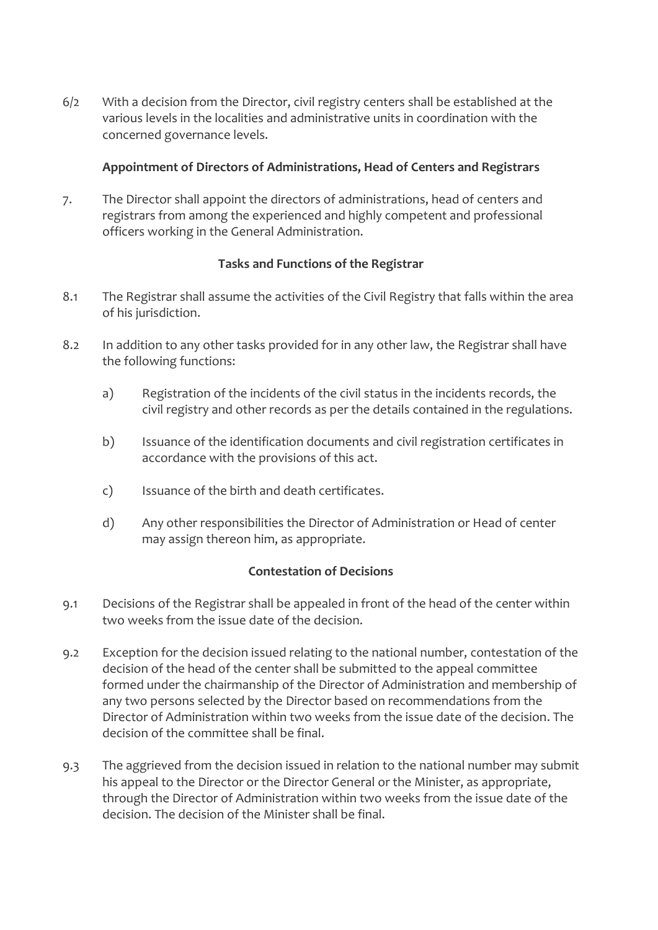6/2 With a decision from the Director, civil registry centers shall be established at the various levels in the localities and administrative units in coordination with the concerned governance levels.

## **Appointment of Directors of Administrations, Head of Centers and Registrars**

7. The Director shall appoint the directors of administrations, head of centers and registrars from among the experienced and highly competent and professional officers working in the General Administration.

## **Tasks and Functions of the Registrar**

- 8.1 The Registrar shall assume the activities of the Civil Registry that falls within the area of his jurisdiction.
- 8.2 In addition to any other tasks provided for in any other law, the Registrar shall have the following functions:
	- a) Registration of the incidents of the civil status in the incidents records, the civil registry and other records as per the details contained in the regulations.
	- b) Issuance of the identification documents and civil registration certificates in accordance with the provisions of this act.
	- c) Issuance of the birth and death certificates.
	- d) Any other responsibilities the Director of Administration or Head of center may assign thereon him, as appropriate.

## **Contestation of Decisions**

- 9.1 Decisions of the Registrar shall be appealed in front of the head of the center within two weeks from the issue date of the decision.
- 9.2 Exception for the decision issued relating to the national number, contestation of the decision of the head of the center shall be submitted to the appeal committee formed under the chairmanship of the Director of Administration and membership of any two persons selected by the Director based on recommendations from the Director of Administration within two weeks from the issue date of the decision. The decision of the committee shall be final.
- 9.3 The aggrieved from the decision issued in relation to the national number may submit his appeal to the Director or the Director General or the Minister, as appropriate, through the Director of Administration within two weeks from the issue date of the decision. The decision of the Minister shall be final.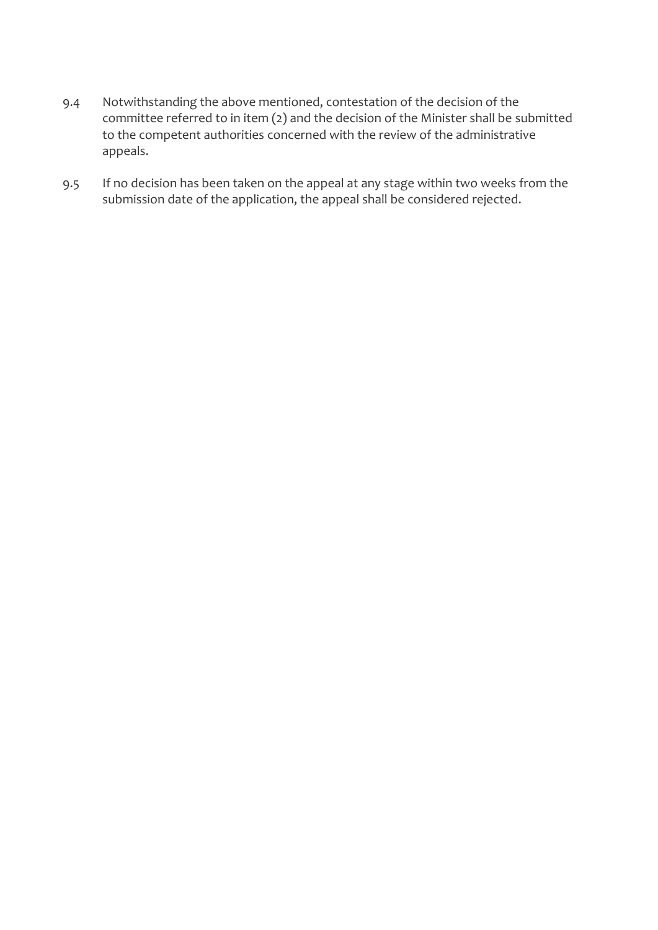- 9.4 Notwithstanding the above mentioned, contestation of the decision of the committee referred to in item (2) and the decision of the Minister shall be submitted to the competent authorities concerned with the review of the administrative appeals.
- 9.5 If no decision has been taken on the appeal at any stage within two weeks from the submission date of the application, the appeal shall be considered rejected.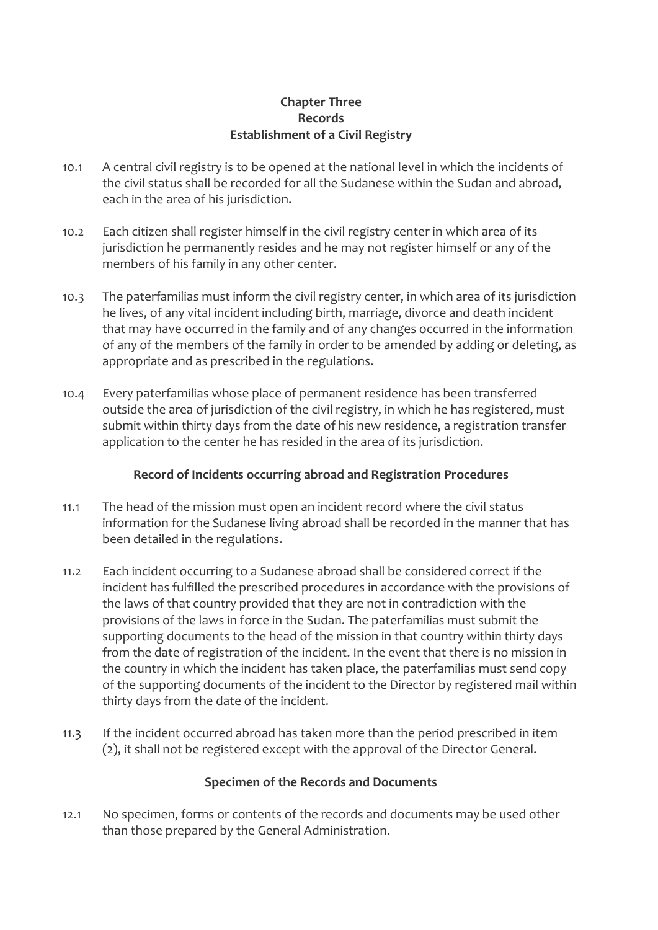## **Chapter Three Records Establishment of a Civil Registry**

- 10.1 A central civil registry is to be opened at the national level in which the incidents of the civil status shall be recorded for all the Sudanese within the Sudan and abroad, each in the area of his jurisdiction.
- 10.2 Each citizen shall register himself in the civil registry center in which area of its jurisdiction he permanently resides and he may not register himself or any of the members of his family in any other center.
- 10.3 The paterfamilias must inform the civil registry center, in which area of its jurisdiction he lives, of any vital incident including birth, marriage, divorce and death incident that may have occurred in the family and of any changes occurred in the information of any of the members of the family in order to be amended by adding or deleting, as appropriate and as prescribed in the regulations.
- 10.4 Every paterfamilias whose place of permanent residence has been transferred outside the area of jurisdiction of the civil registry, in which he has registered, must submit within thirty days from the date of his new residence, a registration transfer application to the center he has resided in the area of its jurisdiction.

## **Record of Incidents occurring abroad and Registration Procedures**

- 11.1 The head of the mission must open an incident record where the civil status information for the Sudanese living abroad shall be recorded in the manner that has been detailed in the regulations.
- 11.2 Each incident occurring to a Sudanese abroad shall be considered correct if the incident has fulfilled the prescribed procedures in accordance with the provisions of the laws of that country provided that they are not in contradiction with the provisions of the laws in force in the Sudan. The paterfamilias must submit the supporting documents to the head of the mission in that country within thirty days from the date of registration of the incident. In the event that there is no mission in the country in which the incident has taken place, the paterfamilias must send copy of the supporting documents of the incident to the Director by registered mail within thirty days from the date of the incident.
- 11.3 If the incident occurred abroad has taken more than the period prescribed in item (2), it shall not be registered except with the approval of the Director General.

## **Specimen of the Records and Documents**

12.1 No specimen, forms or contents of the records and documents may be used other than those prepared by the General Administration.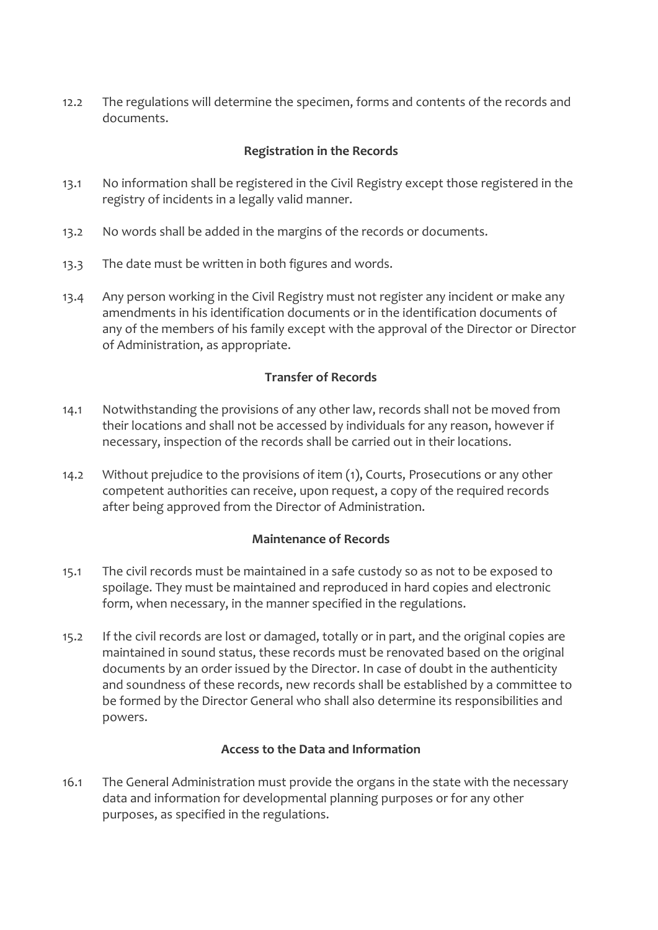12.2 The regulations will determine the specimen, forms and contents of the records and documents.

## **Registration in the Records**

- 13.1 No information shall be registered in the Civil Registry except those registered in the registry of incidents in a legally valid manner.
- 13.2 No words shall be added in the margins of the records or documents.
- 13.3 The date must be written in both figures and words.
- 13.4 Any person working in the Civil Registry must not register any incident or make any amendments in his identification documents or in the identification documents of any of the members of his family except with the approval of the Director or Director of Administration, as appropriate.

## **Transfer of Records**

- 14.1 Notwithstanding the provisions of any other law, records shall not be moved from their locations and shall not be accessed by individuals for any reason, however if necessary, inspection of the records shall be carried out in their locations.
- 14.2 Without prejudice to the provisions of item (1), Courts, Prosecutions or any other competent authorities can receive, upon request, a copy of the required records after being approved from the Director of Administration.

## **Maintenance of Records**

- 15.1 The civil records must be maintained in a safe custody so as not to be exposed to spoilage. They must be maintained and reproduced in hard copies and electronic form, when necessary, in the manner specified in the regulations.
- 15.2 If the civil records are lost or damaged, totally or in part, and the original copies are maintained in sound status, these records must be renovated based on the original documents by an order issued by the Director. In case of doubt in the authenticity and soundness of these records, new records shall be established by a committee to be formed by the Director General who shall also determine its responsibilities and powers.

## **Access to the Data and Information**

16.1 The General Administration must provide the organs in the state with the necessary data and information for developmental planning purposes or for any other purposes, as specified in the regulations.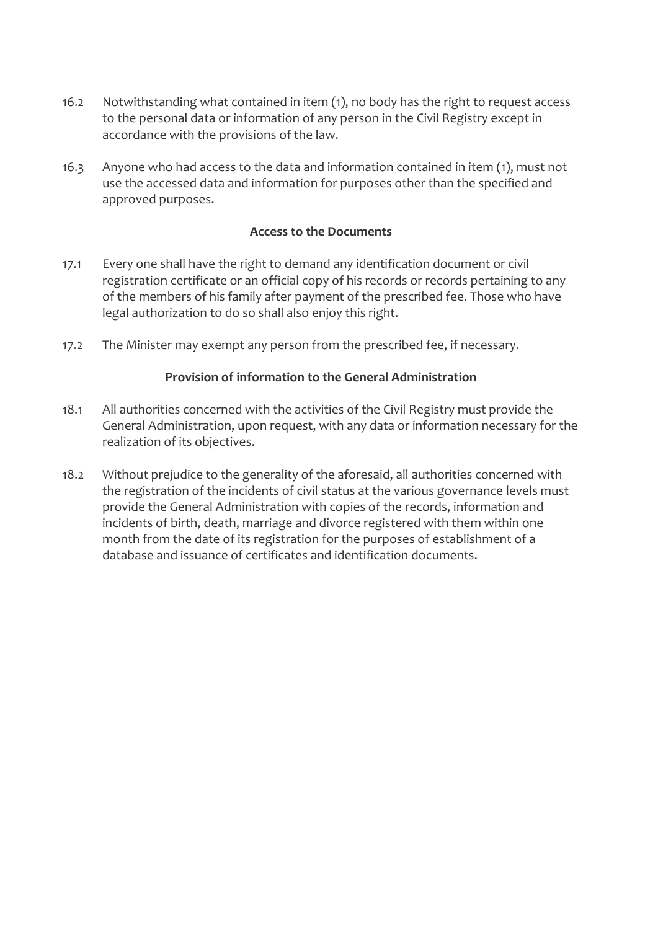- 16.2 Notwithstanding what contained in item (1), no body has the right to request access to the personal data or information of any person in the Civil Registry except in accordance with the provisions of the law.
- 16.3 Anyone who had access to the data and information contained in item (1), must not use the accessed data and information for purposes other than the specified and approved purposes.

## **Access to the Documents**

- 17.1 Every one shall have the right to demand any identification document or civil registration certificate or an official copy of his records or records pertaining to any of the members of his family after payment of the prescribed fee. Those who have legal authorization to do so shall also enjoy this right.
- 17.2 The Minister may exempt any person from the prescribed fee, if necessary.

#### **Provision of information to the General Administration**

- 18.1 All authorities concerned with the activities of the Civil Registry must provide the General Administration, upon request, with any data or information necessary for the realization of its objectives.
- 18.2 Without prejudice to the generality of the aforesaid, all authorities concerned with the registration of the incidents of civil status at the various governance levels must provide the General Administration with copies of the records, information and incidents of birth, death, marriage and divorce registered with them within one month from the date of its registration for the purposes of establishment of a database and issuance of certificates and identification documents.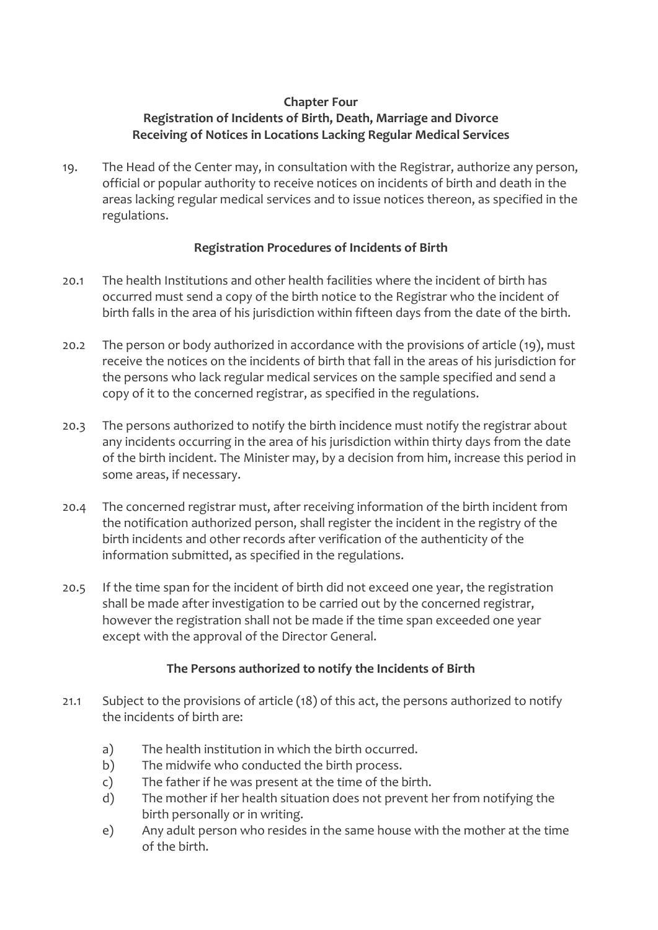## **Chapter Four Registration of Incidents of Birth, Death, Marriage and Divorce Receiving of Notices in Locations Lacking Regular Medical Services**

19. The Head of the Center may, in consultation with the Registrar, authorize any person, official or popular authority to receive notices on incidents of birth and death in the areas lacking regular medical services and to issue notices thereon, as specified in the regulations.

## **Registration Procedures of Incidents of Birth**

- 20.1 The health Institutions and other health facilities where the incident of birth has occurred must send a copy of the birth notice to the Registrar who the incident of birth falls in the area of his jurisdiction within fifteen days from the date of the birth.
- 20.2 The person or body authorized in accordance with the provisions of article (19), must receive the notices on the incidents of birth that fall in the areas of his jurisdiction for the persons who lack regular medical services on the sample specified and send a copy of it to the concerned registrar, as specified in the regulations.
- 20.3 The persons authorized to notify the birth incidence must notify the registrar about any incidents occurring in the area of his jurisdiction within thirty days from the date of the birth incident. The Minister may, by a decision from him, increase this period in some areas, if necessary.
- 20.4 The concerned registrar must, after receiving information of the birth incident from the notification authorized person, shall register the incident in the registry of the birth incidents and other records after verification of the authenticity of the information submitted, as specified in the regulations.
- 20.5 If the time span for the incident of birth did not exceed one year, the registration shall be made after investigation to be carried out by the concerned registrar, however the registration shall not be made if the time span exceeded one year except with the approval of the Director General.

## **The Persons authorized to notify the Incidents of Birth**

- 21.1 Subject to the provisions of article (18) of this act, the persons authorized to notify the incidents of birth are:
	- a) The health institution in which the birth occurred.
	- b) The midwife who conducted the birth process.
	- c) The father if he was present at the time of the birth.
	- d) The mother if her health situation does not prevent her from notifying the birth personally or in writing.
	- e) Any adult person who resides in the same house with the mother at the time of the birth.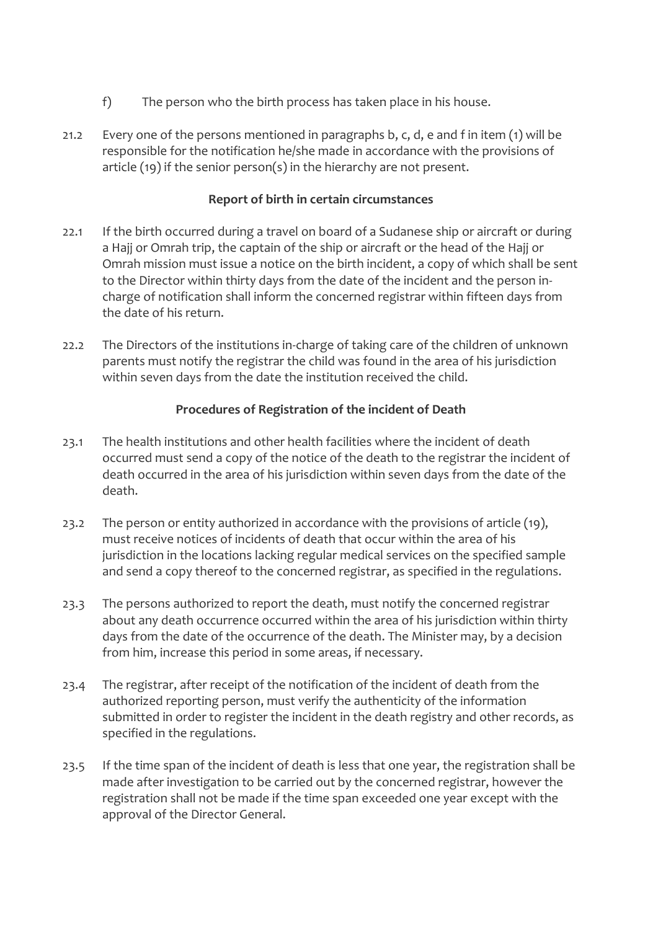- f) The person who the birth process has taken place in his house.
- 21.2 Every one of the persons mentioned in paragraphs b, c, d, e and f in item (1) will be responsible for the notification he/she made in accordance with the provisions of article (19) if the senior person(s) in the hierarchy are not present.

#### **Report of birth in certain circumstances**

- 22.1 If the birth occurred during a travel on board of a Sudanese ship or aircraft or during a Hajj or Omrah trip, the captain of the ship or aircraft or the head of the Hajj or Omrah mission must issue a notice on the birth incident, a copy of which shall be sent to the Director within thirty days from the date of the incident and the person incharge of notification shall inform the concerned registrar within fifteen days from the date of his return.
- 22.2 The Directors of the institutions in-charge of taking care of the children of unknown parents must notify the registrar the child was found in the area of his jurisdiction within seven days from the date the institution received the child.

## **Procedures of Registration of the incident of Death**

- 23.1 The health institutions and other health facilities where the incident of death occurred must send a copy of the notice of the death to the registrar the incident of death occurred in the area of his jurisdiction within seven days from the date of the death.
- 23.2 The person or entity authorized in accordance with the provisions of article (19), must receive notices of incidents of death that occur within the area of his jurisdiction in the locations lacking regular medical services on the specified sample and send a copy thereof to the concerned registrar, as specified in the regulations.
- 23.3 The persons authorized to report the death, must notify the concerned registrar about any death occurrence occurred within the area of his jurisdiction within thirty days from the date of the occurrence of the death. The Minister may, by a decision from him, increase this period in some areas, if necessary.
- 23.4 The registrar, after receipt of the notification of the incident of death from the authorized reporting person, must verify the authenticity of the information submitted in order to register the incident in the death registry and other records, as specified in the regulations.
- 23.5 If the time span of the incident of death is less that one year, the registration shall be made after investigation to be carried out by the concerned registrar, however the registration shall not be made if the time span exceeded one year except with the approval of the Director General.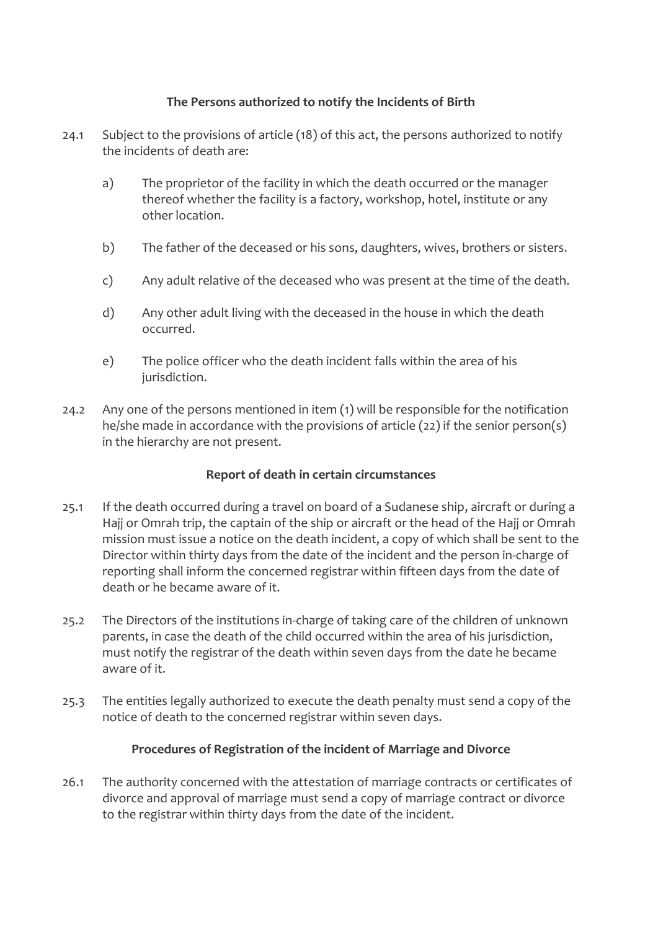## **The Persons authorized to notify the Incidents of Birth**

- 24.1 Subject to the provisions of article (18) of this act, the persons authorized to notify the incidents of death are:
	- a) The proprietor of the facility in which the death occurred or the manager thereof whether the facility is a factory, workshop, hotel, institute or any other location.
	- b) The father of the deceased or his sons, daughters, wives, brothers or sisters.
	- c) Any adult relative of the deceased who was present at the time of the death.
	- d) Any other adult living with the deceased in the house in which the death occurred.
	- e) The police officer who the death incident falls within the area of his jurisdiction.
- 24.2 Any one of the persons mentioned in item (1) will be responsible for the notification he/she made in accordance with the provisions of article (22) if the senior person(s) in the hierarchy are not present.

## **Report of death in certain circumstances**

- 25.1 If the death occurred during a travel on board of a Sudanese ship, aircraft or during a Hajj or Omrah trip, the captain of the ship or aircraft or the head of the Hajj or Omrah mission must issue a notice on the death incident, a copy of which shall be sent to the Director within thirty days from the date of the incident and the person in-charge of reporting shall inform the concerned registrar within fifteen days from the date of death or he became aware of it.
- 25.2 The Directors of the institutions in-charge of taking care of the children of unknown parents, in case the death of the child occurred within the area of his jurisdiction, must notify the registrar of the death within seven days from the date he became aware of it.
- 25.3 The entities legally authorized to execute the death penalty must send a copy of the notice of death to the concerned registrar within seven days.

## **Procedures of Registration of the incident of Marriage and Divorce**

26.1 The authority concerned with the attestation of marriage contracts or certificates of divorce and approval of marriage must send a copy of marriage contract or divorce to the registrar within thirty days from the date of the incident.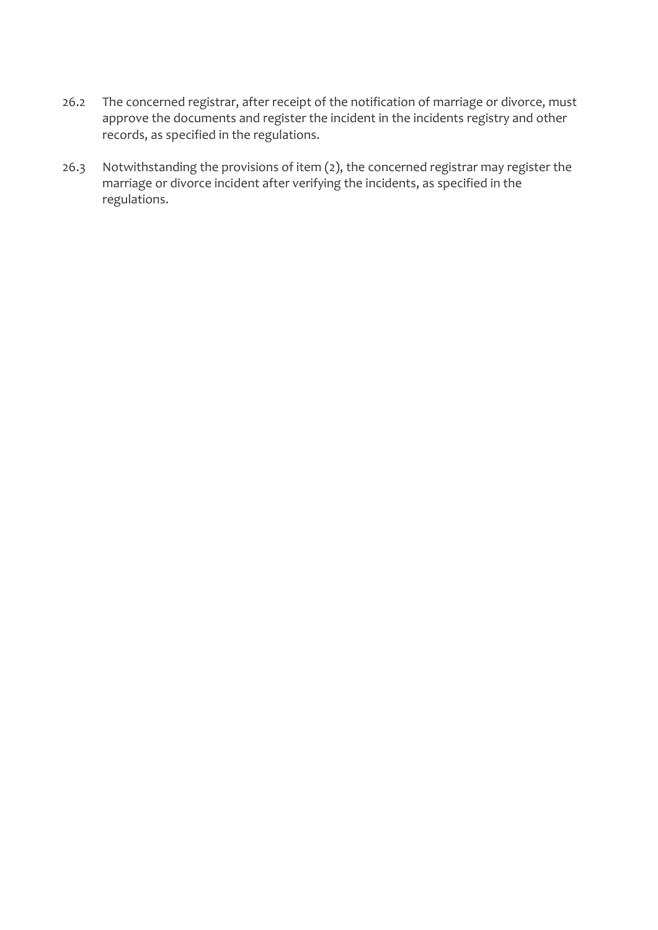- 26.2 The concerned registrar, after receipt of the notification of marriage or divorce, must approve the documents and register the incident in the incidents registry and other records, as specified in the regulations.
- 26.3 Notwithstanding the provisions of item (2), the concerned registrar may register the marriage or divorce incident after verifying the incidents, as specified in the regulations.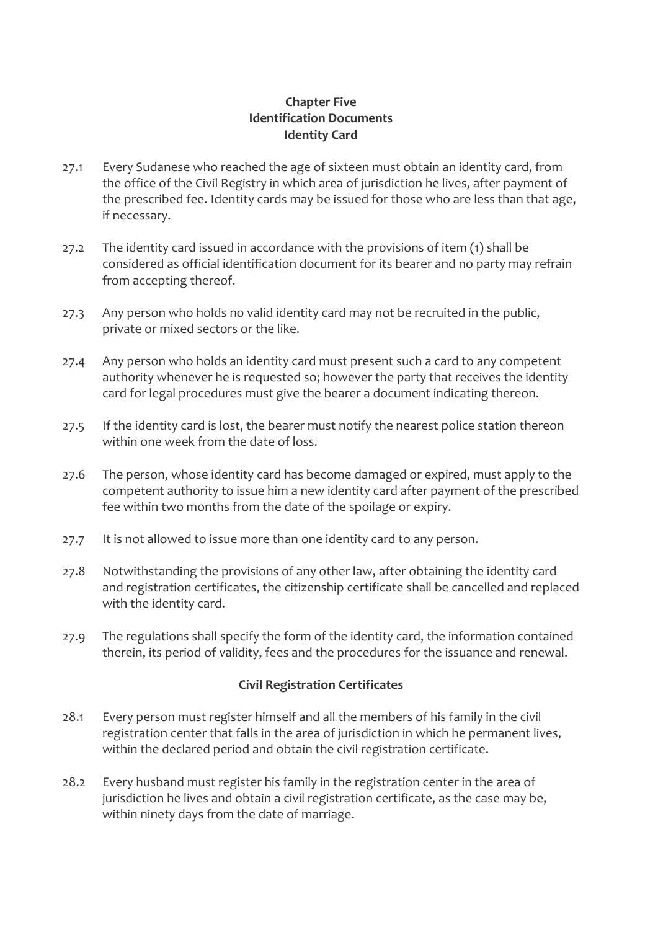## **Chapter Five Identification Documents Identity Card**

- 27.1 Every Sudanese who reached the age of sixteen must obtain an identity card, from the office of the Civil Registry in which area of jurisdiction he lives, after payment of the prescribed fee. Identity cards may be issued for those who are less than that age, if necessary.
- 27.2 The identity card issued in accordance with the provisions of item (1) shall be considered as official identification document for its bearer and no party may refrain from accepting thereof.
- 27.3 Any person who holds no valid identity card may not be recruited in the public, private or mixed sectors or the like.
- 27.4 Any person who holds an identity card must present such a card to any competent authority whenever he is requested so; however the party that receives the identity card for legal procedures must give the bearer a document indicating thereon.
- 27.5 If the identity card is lost, the bearer must notify the nearest police station thereon within one week from the date of loss.
- 27.6 The person, whose identity card has become damaged or expired, must apply to the competent authority to issue him a new identity card after payment of the prescribed fee within two months from the date of the spoilage or expiry.
- 27.7 It is not allowed to issue more than one identity card to any person.
- 27.8 Notwithstanding the provisions of any other law, after obtaining the identity card and registration certificates, the citizenship certificate shall be cancelled and replaced with the identity card.
- 27.9 The regulations shall specify the form of the identity card, the information contained therein, its period of validity, fees and the procedures for the issuance and renewal.

## **Civil Registration Certificates**

- 28.1 Every person must register himself and all the members of his family in the civil registration center that falls in the area of jurisdiction in which he permanent lives, within the declared period and obtain the civil registration certificate.
- 28.2 Every husband must register his family in the registration center in the area of jurisdiction he lives and obtain a civil registration certificate, as the case may be, within ninety days from the date of marriage.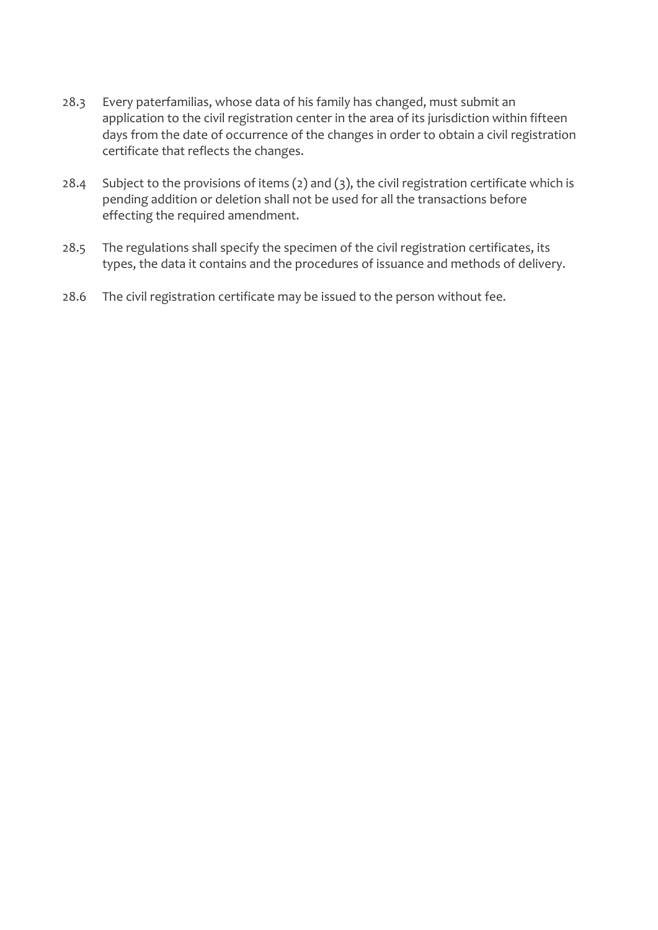- 28.3 Every paterfamilias, whose data of his family has changed, must submit an application to the civil registration center in the area of its jurisdiction within fifteen days from the date of occurrence of the changes in order to obtain a civil registration certificate that reflects the changes.
- 28.4 Subject to the provisions of items (2) and (3), the civil registration certificate which is pending addition or deletion shall not be used for all the transactions before effecting the required amendment.
- 28.5 The regulations shall specify the specimen of the civil registration certificates, its types, the data it contains and the procedures of issuance and methods of delivery.
- 28.6 The civil registration certificate may be issued to the person without fee.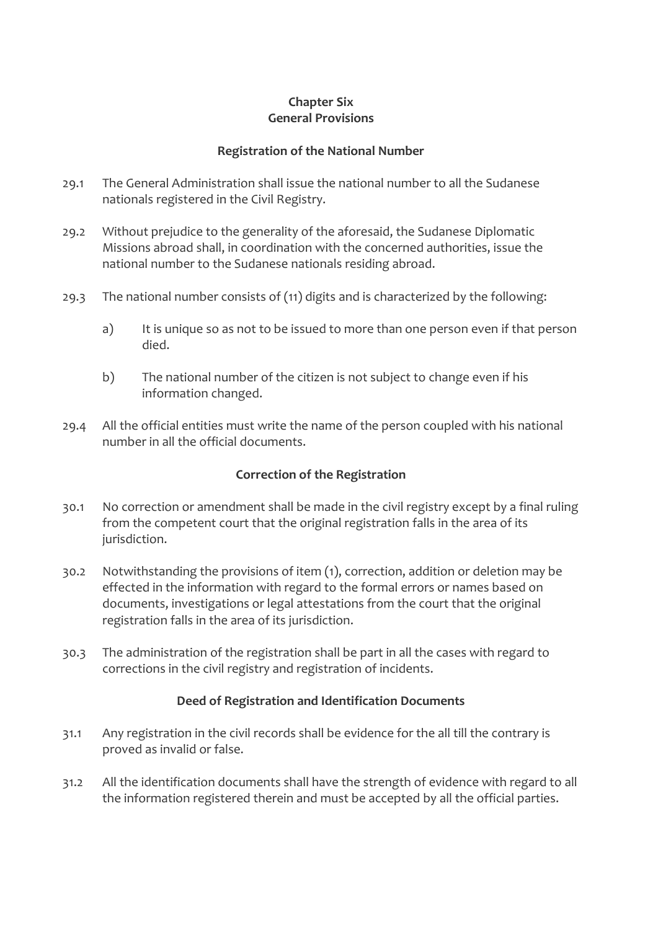## **Chapter Six General Provisions**

## **Registration of the National Number**

- 29.1 The General Administration shall issue the national number to all the Sudanese nationals registered in the Civil Registry.
- 29.2 Without prejudice to the generality of the aforesaid, the Sudanese Diplomatic Missions abroad shall, in coordination with the concerned authorities, issue the national number to the Sudanese nationals residing abroad.
- 29.3 The national number consists of (11) digits and is characterized by the following:
	- a) It is unique so as not to be issued to more than one person even if that person died.
	- b) The national number of the citizen is not subject to change even if his information changed.
- 29.4 All the official entities must write the name of the person coupled with his national number in all the official documents.

## **Correction of the Registration**

- 30.1 No correction or amendment shall be made in the civil registry except by a final ruling from the competent court that the original registration falls in the area of its jurisdiction.
- 30.2 Notwithstanding the provisions of item (1), correction, addition or deletion may be effected in the information with regard to the formal errors or names based on documents, investigations or legal attestations from the court that the original registration falls in the area of its jurisdiction.
- 30.3 The administration of the registration shall be part in all the cases with regard to corrections in the civil registry and registration of incidents.

## **Deed of Registration and Identification Documents**

- 31.1 Any registration in the civil records shall be evidence for the all till the contrary is proved as invalid or false.
- 31.2 All the identification documents shall have the strength of evidence with regard to all the information registered therein and must be accepted by all the official parties.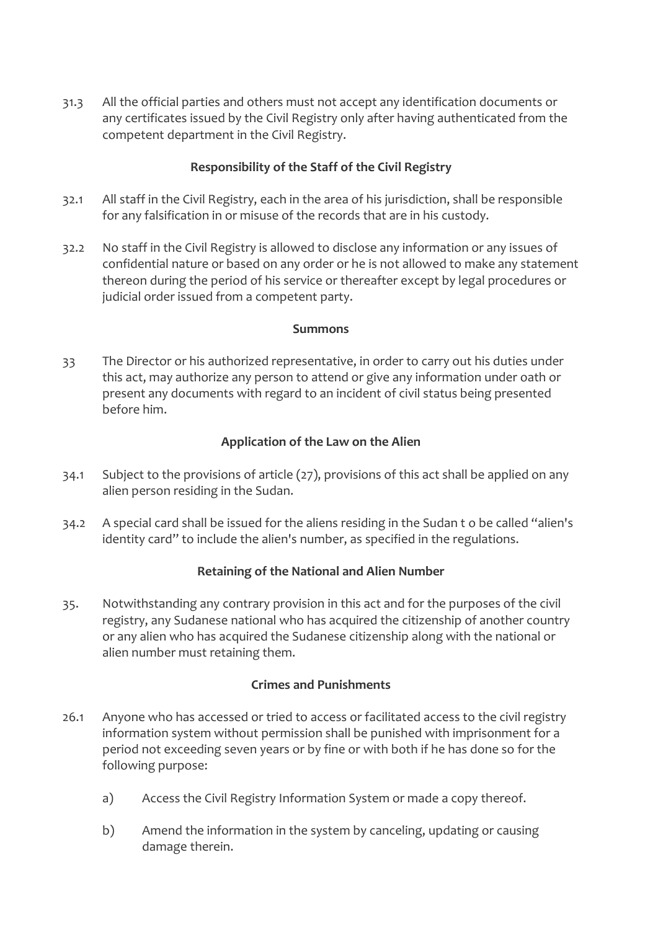31.3 All the official parties and others must not accept any identification documents or any certificates issued by the Civil Registry only after having authenticated from the competent department in the Civil Registry.

## **Responsibility of the Staff of the Civil Registry**

- 32.1 All staff in the Civil Registry, each in the area of his jurisdiction, shall be responsible for any falsification in or misuse of the records that are in his custody.
- 32.2 No staff in the Civil Registry is allowed to disclose any information or any issues of confidential nature or based on any order or he is not allowed to make any statement thereon during the period of his service or thereafter except by legal procedures or judicial order issued from a competent party.

#### **Summons**

33 The Director or his authorized representative, in order to carry out his duties under this act, may authorize any person to attend or give any information under oath or present any documents with regard to an incident of civil status being presented before him.

## **Application of the Law on the Alien**

- 34.1 Subject to the provisions of article (27), provisions of this act shall be applied on any alien person residing in the Sudan.
- 34.2 A special card shall be issued for the aliens residing in the Sudan t o be called "alien's identity card" to include the alien's number, as specified in the regulations.

## **Retaining of the National and Alien Number**

35. Notwithstanding any contrary provision in this act and for the purposes of the civil registry, any Sudanese national who has acquired the citizenship of another country or any alien who has acquired the Sudanese citizenship along with the national or alien number must retaining them.

## **Crimes and Punishments**

- 26.1 Anyone who has accessed or tried to access or facilitated access to the civil registry information system without permission shall be punished with imprisonment for a period not exceeding seven years or by fine or with both if he has done so for the following purpose:
	- a) Access the Civil Registry Information System or made a copy thereof.
	- b) Amend the information in the system by canceling, updating or causing damage therein.